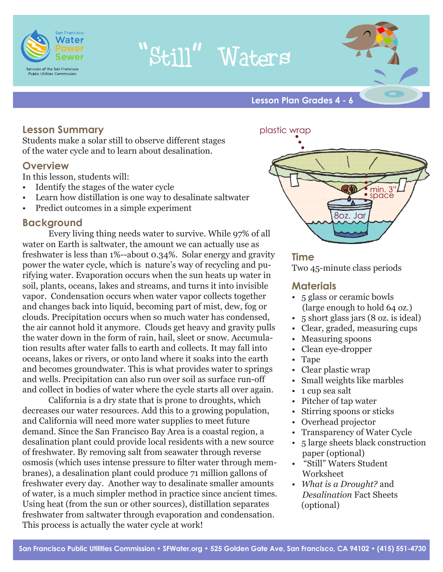

# "Still" Waters



**Lesson Plan Grades 4 - 6**

# **Lesson Summary**

Students make a solar still to observe different stages of the water cycle and to learn about desalination.

# **Overview**

In this lesson, students will:

- • Identify the stages of the water cycle
- Learn how distillation is one way to desalinate saltwater
- Predict outcomes in a simple experiment

# **Background**

Every living thing needs water to survive. While 97% of all water on Earth is saltwater, the amount we can actually use as freshwater is less than 1%--about 0.34%. Solar energy and gravity power the water cycle, which is nature's way of recycling and purifying water. Evaporation occurs when the sun heats up water in soil, plants, oceans, lakes and streams, and turns it into invisible vapor. Condensation occurs when water vapor collects together and changes back into liquid, becoming part of mist, dew, fog or clouds. Precipitation occurs when so much water has condensed, the air cannot hold it anymore. Clouds get heavy and gravity pulls the water down in the form of rain, hail, sleet or snow. Accumulation results after water falls to earth and collects. It may fall into oceans, lakes or rivers, or onto land where it soaks into the earth and becomes groundwater. This is what provides water to springs and wells. Precipitation can also run over soil as surface run-off and collect in bodies of water where the cycle starts all over again.

 California is a dry state that is prone to droughts, which decreases our water resources. Add this to a growing population, and California will need more water supplies to meet future demand. Since the San Francisco Bay Area is a coastal region, a desalination plant could provide local residents with a new source of freshwater. By removing salt from seawater through reverse osmosis (which uses intense pressure to filter water through membranes), a desalination plant could produce 71 million gallons of freshwater every day. Another way to desalinate smaller amounts of water, is a much simpler method in practice since ancient times. Using heat (from the sun or other sources), distillation separates freshwater from saltwater through evaporation and condensation. This process is actually the water cycle at work!

plastic wrap



# **Time**

Two 45-minute class periods

# **Materials**

- 5 glass or ceramic bowls (large enough to hold 64 oz.)
- 5 short glass jars (8 oz. is ideal)
- Clear, graded, measuring cups
- Measuring spoons
- Clean eye-dropper
- Tape
- Clear plastic wrap
- Small weights like marbles
- 1 cup sea salt
- Pitcher of tap water
- Stirring spoons or sticks
- Overhead projector
- Transparency of Water Cycle
- 5 large sheets black construction paper (optional)
- "Still" Waters Student Worksheet
- *What is a Drought?* and *Desalination* Fact Sheets (optional)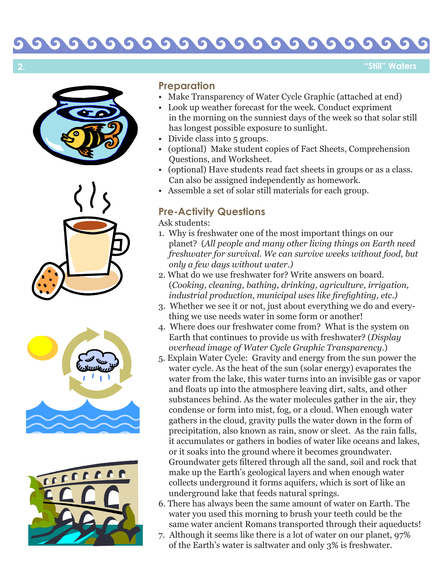## 000000 O  $\sqrt{2}$ **S** 61

**"Still" Waters**



**2.**







# **Preparation**

- Make Transparency of Water Cycle Graphic (attached at end) Look up weather forecast for the week. Conduct expriment
- in the morning on the sunniest days of the week so that solar still has longest possible exposure to sunlight.
- Divide class into 5 groups.
- (optional) Make student copies of Fact Sheets, Comprehension Questions, and Worksheet.
- (optional) Have students read fact sheets in groups or as a class. Can also be assigned independently as homework.
- Assemble a set of solar still materials for each group.

# **Pre-Activity Questions**

Ask students:

- 1. Why is freshwater one of the most important things on our planet? (*All people and many other living things on Earth need freshwater for survival. We can survive weeks without food, but only a few days without water.)*
- 2. What do we use freshwater for? Write answers on board. (*Cooking, cleaning, bathing, drinking, agriculture, irrigation, industrial production, municipal uses like firefighting, etc.)*
- 3. Whether we see it or not, just about everything we do and every thing we use needs water in some form or another!
- 4. Where does our freshwater come from? What is the system on Earth that continues to provide us with freshwater? (*Display overhead image of Water Cycle Graphic Transparency*.)
- 5. Explain Water Cycle: Gravity and energy from the sun power the water cycle. As the heat of the sun (solar energy) evaporates the water from the lake, this water turns into an invisible gas or vapor and floats up into the atmosphere leaving dirt, salts, and other substances behind. As the water molecules gather in the air, they condense or form into mist, fog, or a cloud. When enough water gathers in the cloud, gravity pulls the water down in the form of precipitation, also known as rain, snow or sleet. As the rain falls, it accumulates or gathers in bodies of water like oceans and lakes, or it soaks into the ground where it becomes groundwater. Groundwater gets filtered through all the sand, soil and rock that make up the Earth's geological layers and when enough water collects underground it forms aquifers, which is sort of like an underground lake that feeds natural springs.
- 6. There has always been the same amount of water on Earth. The water you used this morning to brush your teeth could be the same water ancient Romans transported through their aqueducts!
- 7. Although it seems like there is a lot of water on our planet, 97% of the Earth's water is saltwater and only 3% is freshwater.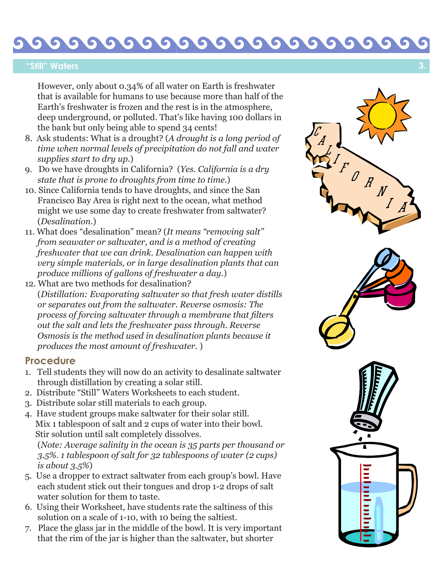#### $\bullet$  $\bullet$  $\bullet$ G  $\bullet$  $\bullet$  $\bullet$  $\bullet$  $\bullet$

## **"Still" Waters**

 However, only about 0.34% of all water on Earth is freshwater that is available for humans to use because more than half of the Earth's freshwater is frozen and the rest is in the atmosphere, deep underground, or polluted. That's like having 100 dollars in the bank but only being able to spend 34 cents!

- 8. Ask students: What is a drought? (*A drought is a long period of time when normal levels of precipitation do not fall and water supplies start to dry up.*)
- 9. Do we have droughts in California? (*Yes. California is a dry state that is prone to droughts from time to time.* )
- 10. Since California tends to have droughts, and since the San Francisco Bay Area is right next to the ocean, what method might we use some day to create freshwater from saltwater? (*Desalination*.)
- 11. What does "desalination" mean? (*It means "removing salt" from seawater or saltwater, and is a method of creating freshwater that we can drink. Desalination can happen with very simple materials, or in large desalination plants that can produce millions of gallons of freshwater a day.*)
- 12. What are two methods for desalination? (*Distillation: Evaporating saltwater so that fresh water distills or separates out from the saltwater. Reverse osmosis: The process of forcing saltwater through a membrane that filters out the salt and lets the freshwater pass through. Reverse Osmosis is the method used in desalination plants because it produces the most amount of freshwater.* )

## **Procedure**

- 1. Tell students they will now do an activity to desalinate saltwater through distillation by creating a solar still.
- 2. Distribute "Still" Waters Worksheets to each student.
- 3. Distribute solar still materials to each group.
- 4. Have student groups make saltwater for their solar still. Mix 1 tablespoon of salt and 2 cups of water into their bowl. Stir solution until salt completely dissolves.

 (*Note: Average salinity in the ocean is 35 parts per thousand or 3.5%. 1 tablespoon of salt for 32 tablespoons of water (2 cups) is about 3.5%* )

- 5. Use a dropper to extract saltwater from each group's bowl. Have each student stick out their tongues and drop 1-2 drops of salt water solution for them to taste.
- 6. Using their Worksheet, have students rate the saltiness of this solution on a scale of 1-10, with 10 being the saltiest.
- 7. Place the glass jar in the middle of the bowl. It is very important that the rim of the jar is higher than the saltwater, but shorter

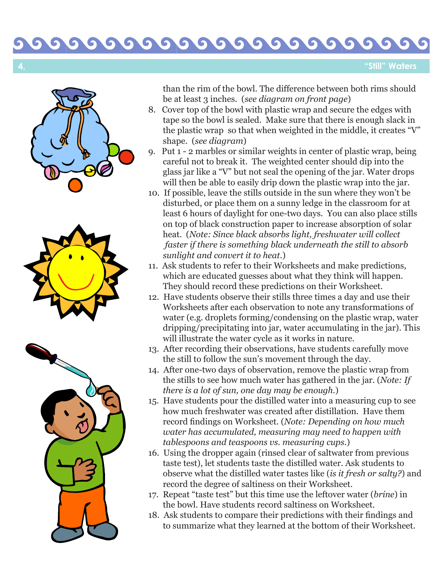#### 00000  $\bullet$ G **S**  $\bullet$ G

**"Still" Waters**





 than the rim of the bowl. The difference between both rims should be at least 3 inches. (*see diagram on front page*)

- 8. Cover top of the bowl with plastic wrap and secure the edges with tape so the bowl is sealed. Make sure that there is enough slack in the plastic wrap so that when weighted in the middle, it creates "V" shape. (*see diagram*)
- 9. Put 1 2 marbles or similar weights in center of plastic wrap, being careful not to break it. The weighted center should dip into the glass jar like a "V" but not seal the opening of the jar. Water drops will then be able to easily drip down the plastic wrap into the jar.
- 10. If possible, leave the stills outside in the sun where they won't be disturbed, or place them on a sunny ledge in the classroom for at least 6 hours of daylight for one-two days. You can also place stills on top of black construction paper to increase absorption of solar heat. (*Note: Since black absorbs light, freshwater will collect faster if there is something black underneath the still to absorb sunlight and convert it to heat.* )
- 11. Ask students to refer to their Worksheets and make predictions, which are educated guesses about what they think will happen. They should record these predictions on their Worksheet.
- 12. Have students observe their stills three times a day and use their Worksheets after each observation to note any transformations of water (e.g. droplets forming/condensing on the plastic wrap, water dripping/precipitating into jar, water accumulating in the jar). This will illustrate the water cycle as it works in nature.
- 13. After recording their observations, have students carefully move the still to follow the sun's movement through the day.
- 14. After one-two days of observation, remove the plastic wrap from the stills to see how much water has gathered in the jar. (*Note: If there is a lot of sun, one day may be enough.* )
- 15. Have students pour the distilled water into a measuring cup to see how much freshwater was created after distillation. Have them record findings on Worksheet. (*Note: Depending on how much water has accumulated, measuring may need to happen with tablespoons and teaspoons vs. measuring cups.* )
- 16. Using the dropper again (rinsed clear of saltwater from previous taste test), let students taste the distilled water. Ask students to observe what the distilled water tastes like (*is it fresh or salty?*) and record the degree of saltiness on their Worksheet.
- 17. Repeat "taste test" but this time use the leftover water (*brine*) in the bowl. Have students record saltiness on Worksheet.
- 18. Ask students to compare their predictions with their findings and to summarize what they learned at the bottom of their Worksheet.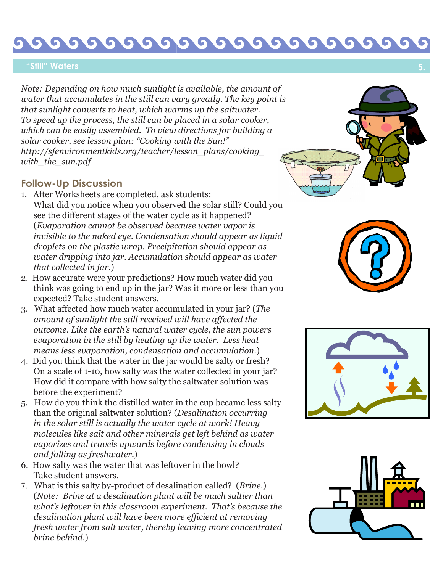#### 6 5  $\bullet$ G  $\bullet$ G

## **"Still" Waters**

*Note: Depending on how much sunlight is available, the amount of water that accumulates in the still can vary greatly. The key point is that sunlight converts to heat, which warms up the saltwater. To speed up the process, the still can be placed in a solar cooker, which can be easily assembled. To view directions for building a solar cooker, see lesson plan: "Cooking with the Sun!" http://sfenvironmentkids.org/teacher/lesson\_plans/cooking\_ with\_the\_sun.pdf*

# **Follow-Up Discussion**

- 1. After Worksheets are completed, ask students: What did you notice when you observed the solar still? Could you see the different stages of the water cycle as it happened? (*Evaporation cannot be observed because water vapor is invisible to the naked eye. Condensation should appear as liquid droplets on the plastic wrap. Precipitation should appear as water dripping into jar. Accumulation should appear as water that collected in jar.* )
- 2. How accurate were your predictions? How much water did you think was going to end up in the jar? Was it more or less than you expected? Take student answers.
- 3. What affected how much water accumulated in your jar? (*The amount of sunlight the still received will have affected the outcome. Like the earth's natural water cycle, the sun powers evaporation in the still by heating up the water. Less heat means less evaporation, condensation and accumulation.* )
- 4. Did you think that the water in the jar would be salty or fresh? On a scale of 1-10, how salty was the water collected in your jar? How did it compare with how salty the saltwater solution was before the experiment?
- 5. How do you think the distilled water in the cup became less salty than the original saltwater solution? (*Desalination occurring in the solar still is actually the water cycle at work! Heavy molecules like salt and other minerals get left behind as water vaporizes and travels upwards before condensing in clouds and falling as freshwater.* )
- 6. How salty was the water that was leftover in the bowl? Take student answers.
- 7. What is this salty by-product of desalination called? (*Brine.*) (*Note: Brine at a desalination plant will be much saltier than what's leftover in this classroom experiment. That's because the desalination plant will have been more efficient at removing fresh water from salt water, thereby leaving more concentrated brine behind.* )







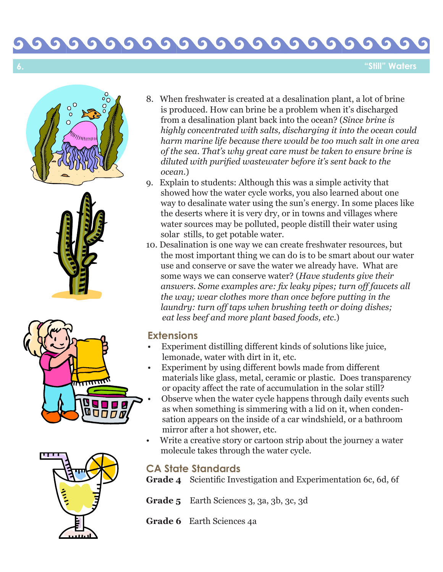## 0000 G **S**  $\bullet$ **CO**

**"Still" Waters**









- 8. When freshwater is created at a desalination plant, a lot of brine is produced. How can brine be a problem when it's discharged from a desalination plant back into the ocean? (*Since brine is highly concentrated with salts, discharging it into the ocean could harm marine life because there would be too much salt in one area of the sea. That's why great care must be taken to ensure brine is diluted with purified wastewater before it's sent back to the ocean.* )
- 9. Explain to students: Although this was a simple activity that showed how the water cycle works, you also learned about one way to desalinate water using the sun's energy. In some places like the deserts where it is very dry, or in towns and villages where water sources may be polluted, people distill their water using solar stills, to get potable water.
- 10. Desalination is one way we can create freshwater resources, but the most important thing we can do is to be smart about our water use and conserve or save the water we already have. What are some ways we can conserve water? (*Have students give their answers. Some examples are: fix leaky pipes; turn off faucets all the way; wear clothes more than once before putting in the laundry: turn off taps when brushing teeth or doing dishes; eat less beef and more plant based foods, etc.*)

# **Extensions**

- Experiment distilling different kinds of solutions like juice, lemonade, water with dirt in it, etc.
- Experiment by using different bowls made from different materials like glass, metal, ceramic or plastic. Does transparency or opacity affect the rate of accumulation in the solar still?
- Observe when the water cycle happens through daily events such as when something is simmering with a lid on it, when conden sation appears on the inside of a car windshield, or a bathroom mirror after a hot shower, etc.
- Write a creative story or cartoon strip about the journey a water molecule takes through the water cycle.

# **CA State Standards**

**Grade 4** Scientific Investigation and Experimentation 6c, 6d, 6f

**Grade 5** Earth Sciences 3, 3a, 3b, 3c, 3d

**Grade 6** Earth Sciences 4a